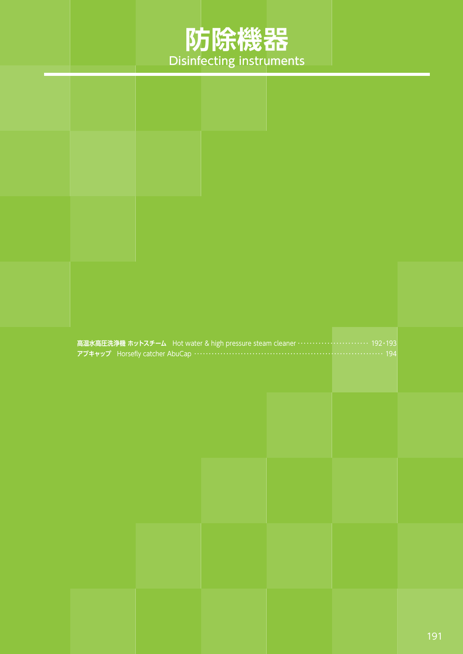## **防除機器** Disinfecting instruments

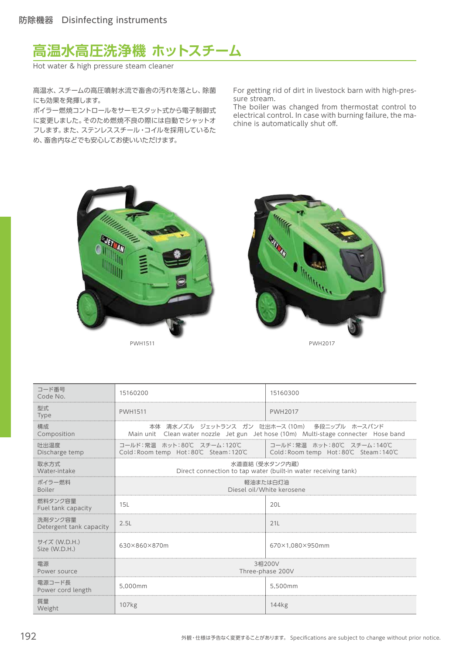

Hot water & high pressure steam cleaner

高温水、スチームの高圧噴射水流で畜舎の汚れを落とし、除菌 にも効果を発揮します。

ボイラー燃焼コントロールをサーモスタット式から電子制御式 に変更しました。そのため燃焼不良の際には自動でシャットオ フします。また、ステンレススチール・コイルを採用しているた め、畜舎内などでも安心してお使いいただけます。

For getting rid of dirt in livestock barn with high-pressure stream.

The boiler was changed from thermostat control to electrical control. In case with burning failure, the machine is automatically shut off.





| コード番号<br>Code No.                  | 15160200                                                                                                 | 15160300                                                                                                                                 |
|------------------------------------|----------------------------------------------------------------------------------------------------------|------------------------------------------------------------------------------------------------------------------------------------------|
| 型式<br>Type                         | <b>PWH1511</b>                                                                                           | <b>PWH2017</b>                                                                                                                           |
| 構成<br>Composition                  |                                                                                                          | 本体 清水ノズル ジェットランス ガン 吐出ホース(10m) 多段ニップル ホースバンド<br>Main unit  Clean water nozzle  Jet gun  Jet hose (10m)  Multi-stage connecter  Hose band |
| 吐出温度<br>Discharge temp             | コールド:常温 ホット:80℃ スチーム:120℃<br>Cold: Room temp Hot: 80℃ Steam: 120℃   Cold: Room temp Hot: 80℃ Steam: 140℃ | コールド:常温 ホット:80℃ スチーム:140℃                                                                                                                |
| 取水方式<br>Water-intake               | 水道直結 (受水タンク内蔵)                                                                                           | Direct connection to tap water (built-in water receiving tank)                                                                           |
| ボイラー燃料<br><b>Boiler</b>            | 軽油または白灯油<br>Diesel oil/White kerosene                                                                    |                                                                                                                                          |
| 燃料タンク容量<br>Fuel tank capacity      | 15L                                                                                                      | 20L                                                                                                                                      |
| 洗剤タンク容量<br>Detergent tank capacity | 2.5L                                                                                                     | 211                                                                                                                                      |
| サイズ (W.D.H.)<br>Size (W.D.H.)      | 630×860×870m                                                                                             | 670×1.080×950mm                                                                                                                          |
| 電源<br>Power source                 | 3相200V<br>Three-phase 200V                                                                               |                                                                                                                                          |
| 電源コード長<br>Power cord length        | 5.000mm                                                                                                  | 5.500mm                                                                                                                                  |
| 質量<br>Weight                       | 107 <sub>kg</sub>                                                                                        | 144 <sub>kg</sub>                                                                                                                        |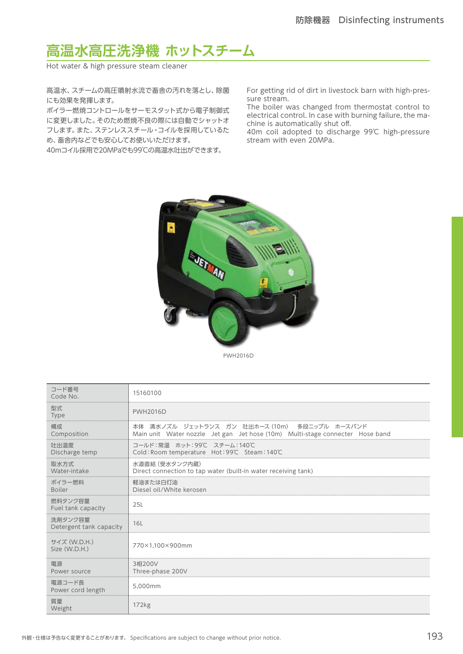## **高温水高圧洗浄機 ホットスチーム**

Hot water & high pressure steam cleaner

高温水、スチームの高圧噴射水流で畜舎の汚れを落とし、除菌 にも効果を発揮します。

ボイラー燃焼コントロールをサーモスタット式から電子制御式 に変更しました。そのため燃焼不良の際には自動でシャットオ フします。また、ステンレススチール・コイルを採用しているた め、畜舎内などでも安心してお使いいただけます。

40mコイル採用で20MPaでも99℃の高温水吐出ができます。

For getting rid of dirt in livestock barn with high-pressure stream.

The boiler was changed from thermostat control to electrical control. In case with burning failure, the machine is automatically shut off.

40m coil adopted to discharge 99℃ high-pressure stream with even 20MPa.



PWH2016D

| コード番号<br>Code No.                  | 15160100                                                                                                                      |
|------------------------------------|-------------------------------------------------------------------------------------------------------------------------------|
| 型式<br><b>Type</b>                  | <b>PWH2016D</b>                                                                                                               |
| 構成<br>Composition                  | 本体 清水ノズル ジェットランス ガン 吐出ホース(10m) 多段ニップル ホースバンド<br>Main unit Water nozzle Jet gan Jet hose (10m) Multi-stage connecter Hose band |
| 吐出温度<br>Discharge temp             | コールド:常温 ホット:99℃ スチーム:140℃<br>Cold: Room temperature Hot: 99℃ Steam: 140℃                                                      |
| 取水方式<br>Water-intake               | 水道直結 (受水タンク内蔵)<br>Direct connection to tap water (built-in water receiving tank)                                              |
| ボイラー燃料<br><b>Boiler</b>            | 軽油または白灯油<br>Diesel oil/White kerosen                                                                                          |
| 燃料タンク容量<br>Fuel tank capacity      | 25L                                                                                                                           |
| 洗剤タンク容量<br>Detergent tank capacity | 16L                                                                                                                           |
| サイズ (W.D.H.)<br>Size (W.D.H.)      | 770×1.100×900mm                                                                                                               |
| 雷源<br>Power source                 | 3相200V<br>Three-phase 200V                                                                                                    |
| 電源コード長<br>Power cord length        | 5.000mm                                                                                                                       |
| 暂量<br>Weight                       | 172kg                                                                                                                         |